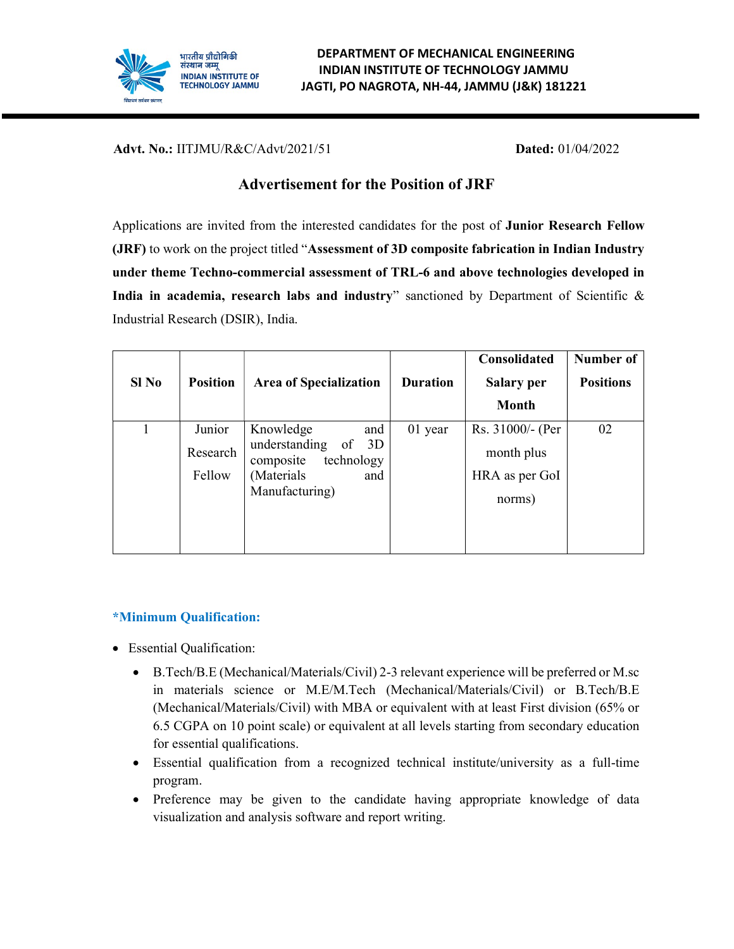

Advt. No.: IITJMU/R&C/Advt/2021/51 Dated: 01/04/2022

# Advertisement for the Position of JRF

Applications are invited from the interested candidates for the post of Junior Research Fellow (JRF) to work on the project titled "Assessment of 3D composite fabrication in Indian Industry under theme Techno-commercial assessment of TRL-6 and above technologies developed in India in academia, research labs and industry" sanctioned by Department of Scientific  $\&$ Industrial Research (DSIR), India.

| $SI$ No | <b>Position</b> | <b>Area of Specialization</b>                       | <b>Duration</b> | Consolidated<br>Salary per | Number of<br><b>Positions</b> |
|---------|-----------------|-----------------------------------------------------|-----------------|----------------------------|-------------------------------|
|         |                 |                                                     |                 | <b>Month</b>               |                               |
|         | Junior          | Knowledge<br>and                                    | 01 year         | Rs. 31000/- (Per           | 02                            |
|         | Research        | understanding<br>of $3D$<br>technology<br>composite |                 | month plus                 |                               |
|         | Fellow          | (Materials)<br>and                                  |                 | HRA as per GoI             |                               |
|         |                 | Manufacturing)                                      |                 | norms)                     |                               |
|         |                 |                                                     |                 |                            |                               |

## \*Minimum Qualification:

- Essential Qualification:
	- B.Tech/B.E (Mechanical/Materials/Civil) 2-3 relevant experience will be preferred or M.sc in materials science or M.E/M.Tech (Mechanical/Materials/Civil) or B.Tech/B.E (Mechanical/Materials/Civil) with MBA or equivalent with at least First division (65% or 6.5 CGPA on 10 point scale) or equivalent at all levels starting from secondary education for essential qualifications.
	- Essential qualification from a recognized technical institute/university as a full-time program.
	- Preference may be given to the candidate having appropriate knowledge of data visualization and analysis software and report writing.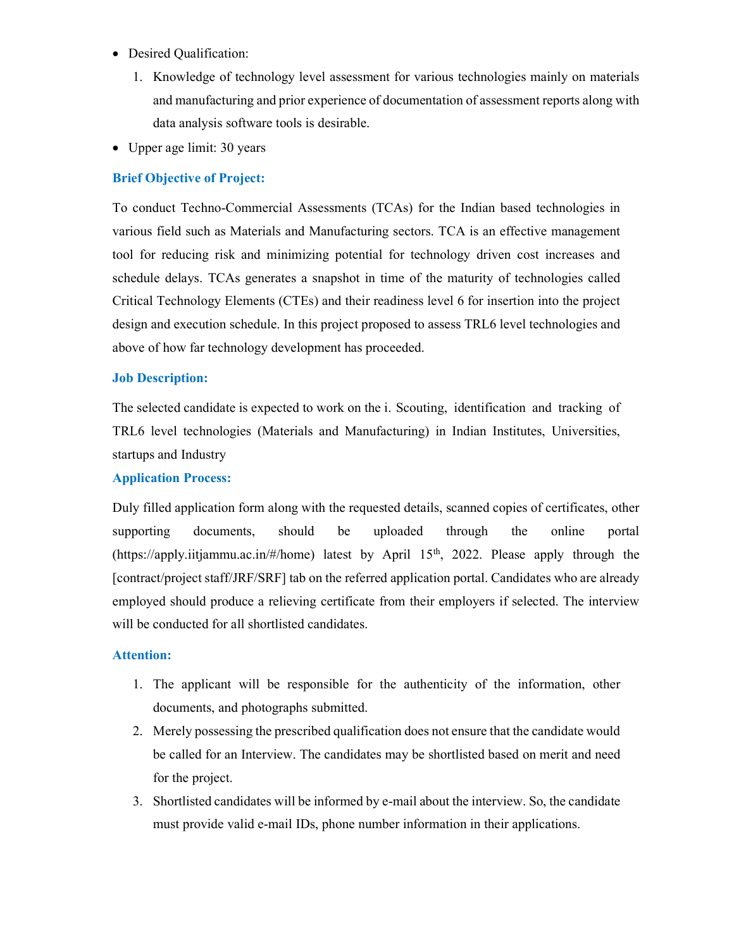- Desired Qualification:
	- 1. Knowledge of technology level assessment for various technologies mainly on materials and manufacturing and prior experience of documentation of assessment reports along with data analysis software tools is desirable.
- Upper age limit: 30 years

## Brief Objective of Project:

To conduct Techno-Commercial Assessments (TCAs) for the Indian based technologies in various field such as Materials and Manufacturing sectors. TCA is an effective management tool for reducing risk and minimizing potential for technology driven cost increases and schedule delays. TCAs generates a snapshot in time of the maturity of technologies called Critical Technology Elements (CTEs) and their readiness level 6 for insertion into the project design and execution schedule. In this project proposed to assess TRL6 level technologies and above of how far technology development has proceeded.

### Job Description:

The selected candidate is expected to work on the i. Scouting, identification and tracking of TRL6 level technologies (Materials and Manufacturing) in Indian Institutes, Universities, startups and Industry

### Application Process:

Duly filled application form along with the requested details, scanned copies of certificates, other supporting documents, should be uploaded through the online portal (https://apply.iitjammu.ac.in/#/home) latest by April  $15<sup>th</sup>$ , 2022. Please apply through the [contract/project staff/JRF/SRF] tab on the referred application portal. Candidates who are already employed should produce a relieving certificate from their employers if selected. The interview will be conducted for all shortlisted candidates.

### Attention:

- 1. The applicant will be responsible for the authenticity of the information, other documents, and photographs submitted.
- 2. Merely possessing the prescribed qualification does not ensure that the candidate would be called for an Interview. The candidates may be shortlisted based on merit and need for the project.
- 3. Shortlisted candidates will be informed by e-mail about the interview. So, the candidate must provide valid e-mail IDs, phone number information in their applications.